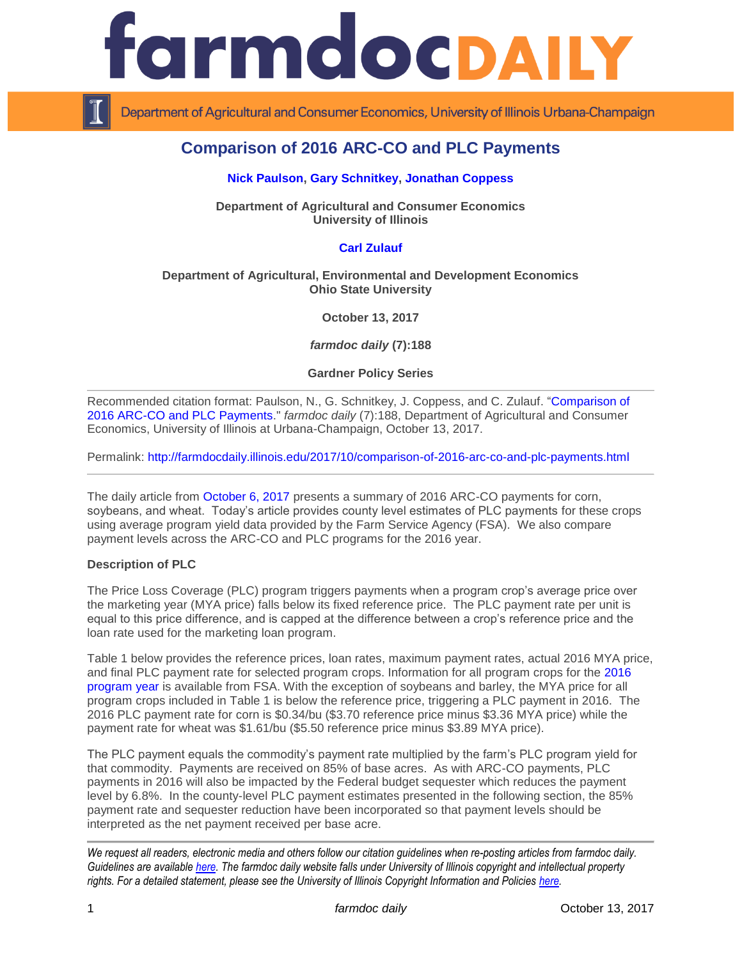



Department of Agricultural and Consumer Economics, University of Illinois Urbana-Champaign

# **Comparison of 2016 ARC-CO and PLC Payments**

### **[Nick Paulson,](http://farmdoc.illinois.edu/paulson) [Gary Schnitkey,](http://farmdoc.illinois.edu/schnitkey) [Jonathan Coppess](http://farmdoc.illinois.edu/coppess)**

**Department of Agricultural and Consumer Economics University of Illinois**

# **[Carl Zulauf](http://aede.osu.edu/our-people/carl-zulauf)**

## **Department of Agricultural, Environmental and Development Economics Ohio State University**

**October 13, 2017**

*farmdoc daily* **(7):188**

**Gardner Policy Series**

Recommended citation format: Paulson, N., G. Schnitkey, J. Coppess, and C. Zulauf. ["Comparison of](http://farmdocdaily.illinois.edu/2017/10/comparison-of-2016-arc-co-and-plc-payments.html)  [2016 ARC-CO and PLC Payments.](http://farmdocdaily.illinois.edu/2017/10/comparison-of-2016-arc-co-and-plc-payments.html)" *farmdoc daily* (7):188, Department of Agricultural and Consumer Economics, University of Illinois at Urbana-Champaign, October 13, 2017.

Permalink: <http://farmdocdaily.illinois.edu/2017/10/comparison-of-2016-arc-co-and-plc-payments.html>

The daily article from [October 6, 2017](http://farmdocdaily.illinois.edu/2017/10/2016-arc-co-payments.html) presents a summary of 2016 ARC-CO payments for corn, soybeans, and wheat. Today's article provides county level estimates of PLC payments for these crops using average program yield data provided by the Farm Service Agency (FSA). We also compare payment levels across the ARC-CO and PLC programs for the 2016 year.

#### **Description of PLC**

The Price Loss Coverage (PLC) program triggers payments when a program crop's average price over the marketing year (MYA price) falls below its fixed reference price. The PLC payment rate per unit is equal to this price difference, and is capped at the difference between a crop's reference price and the loan rate used for the marketing loan program.

Table 1 below provides the reference prices, loan rates, maximum payment rates, actual 2016 MYA price, and final PLC payment rate for selected program crops. Information for all program crops for the [2016](https://www.fsa.usda.gov/Assets/USDA-FSA-Public/usdafiles/arc-plc/pdf/2016_plc.pdf)  [program year](https://www.fsa.usda.gov/Assets/USDA-FSA-Public/usdafiles/arc-plc/pdf/2016_plc.pdf) is available from FSA. With the exception of soybeans and barley, the MYA price for all program crops included in Table 1 is below the reference price, triggering a PLC payment in 2016. The 2016 PLC payment rate for corn is \$0.34/bu (\$3.70 reference price minus \$3.36 MYA price) while the payment rate for wheat was \$1.61/bu (\$5.50 reference price minus \$3.89 MYA price).

The PLC payment equals the commodity's payment rate multiplied by the farm's PLC program yield for that commodity. Payments are received on 85% of base acres. As with ARC-CO payments, PLC payments in 2016 will also be impacted by the Federal budget sequester which reduces the payment level by 6.8%. In the county-level PLC payment estimates presented in the following section, the 85% payment rate and sequester reduction have been incorporated so that payment levels should be interpreted as the net payment received per base acre.

*We request all readers, electronic media and others follow our citation guidelines when re-posting articles from farmdoc daily. Guidelines are available [here.](http://farmdocdaily.illinois.edu/citationguide.html) The farmdoc daily website falls under University of Illinois copyright and intellectual property rights. For a detailed statement, please see the University of Illinois Copyright Information and Policies [here.](http://www.cio.illinois.edu/policies/copyright/)*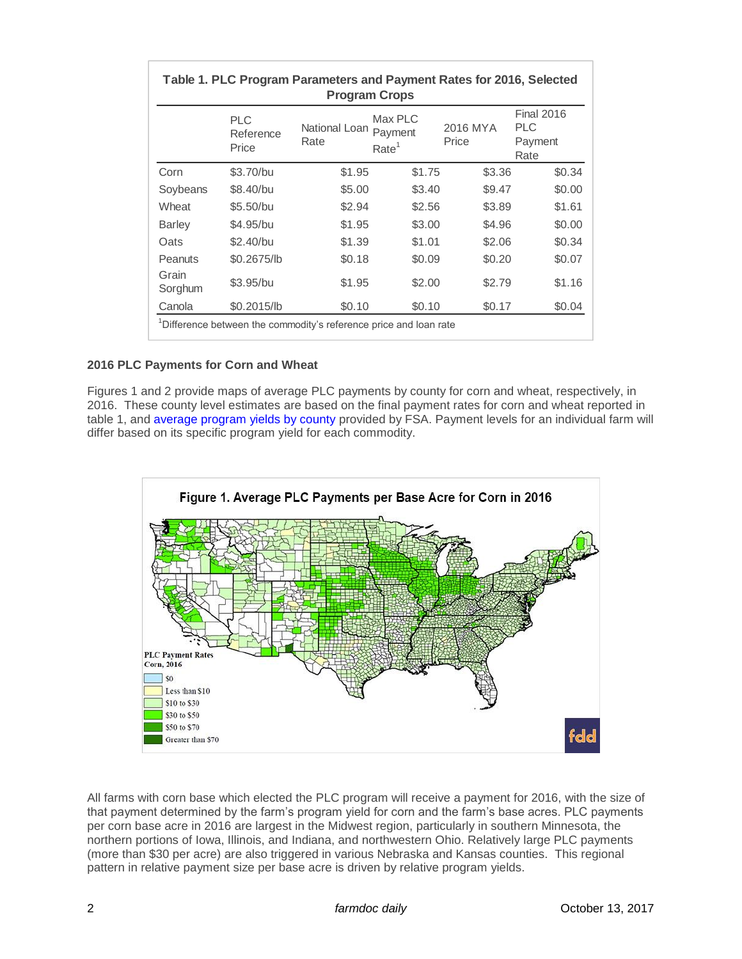| Table 1. PLC Program Parameters and Payment Rates for 2016, Selected<br><b>Program Crops</b> |                                  |                       |                                         |                   |                                                    |
|----------------------------------------------------------------------------------------------|----------------------------------|-----------------------|-----------------------------------------|-------------------|----------------------------------------------------|
|                                                                                              | <b>PLC</b><br>Reference<br>Price | National Loan<br>Rate | Max PLC<br>Payment<br>Rate <sup>1</sup> | 2016 MYA<br>Price | <b>Final 2016</b><br><b>PLC</b><br>Payment<br>Rate |
| Corn                                                                                         | \$3.70/bu                        | \$1.95                | \$1.75                                  | \$3.36            | \$0.34                                             |
| Soybeans                                                                                     | \$8,40/bu                        | \$5.00                | \$3.40                                  | \$9.47            | \$0.00                                             |
| Wheat                                                                                        | \$5.50/bu                        | \$2.94                | \$2.56                                  | \$3.89            | \$1.61                                             |
| <b>Barley</b>                                                                                | \$4.95/bu                        | \$1.95                | \$3.00                                  | \$4.96            | \$0.00                                             |
| Oats                                                                                         | \$2.40/bu                        | \$1.39                | \$1.01                                  | \$2.06            | \$0.34                                             |
| <b>Peanuts</b>                                                                               | \$0.2675/lb                      | \$0.18                | \$0.09                                  | \$0.20            | \$0.07                                             |
| Grain<br>Sorghum                                                                             | \$3.95/bu                        | \$1.95                | \$2.00                                  | \$2.79            | \$1.16                                             |
| Canola                                                                                       | \$0,2015/lb                      | \$0.10                | \$0.10                                  | \$0.17            | \$0.04                                             |
| <sup>1</sup> Difference between the commodity's reference price and loan rate                |                                  |                       |                                         |                   |                                                    |

## **2016 PLC Payments for Corn and Wheat**

Figures 1 and 2 provide maps of average PLC payments by county for corn and wheat, respectively, in 2016. These county level estimates are based on the final payment rates for corn and wheat reported in table 1, and [average program yields by county](https://www.fsa.usda.gov/programs-and-services/arcplc_program/arcplc-program-data/index) provided by FSA. Payment levels for an individual farm will differ based on its specific program yield for each commodity.



All farms with corn base which elected the PLC program will receive a payment for 2016, with the size of that payment determined by the farm's program yield for corn and the farm's base acres. PLC payments per corn base acre in 2016 are largest in the Midwest region, particularly in southern Minnesota, the northern portions of Iowa, Illinois, and Indiana, and northwestern Ohio. Relatively large PLC payments (more than \$30 per acre) are also triggered in various Nebraska and Kansas counties. This regional pattern in relative payment size per base acre is driven by relative program yields.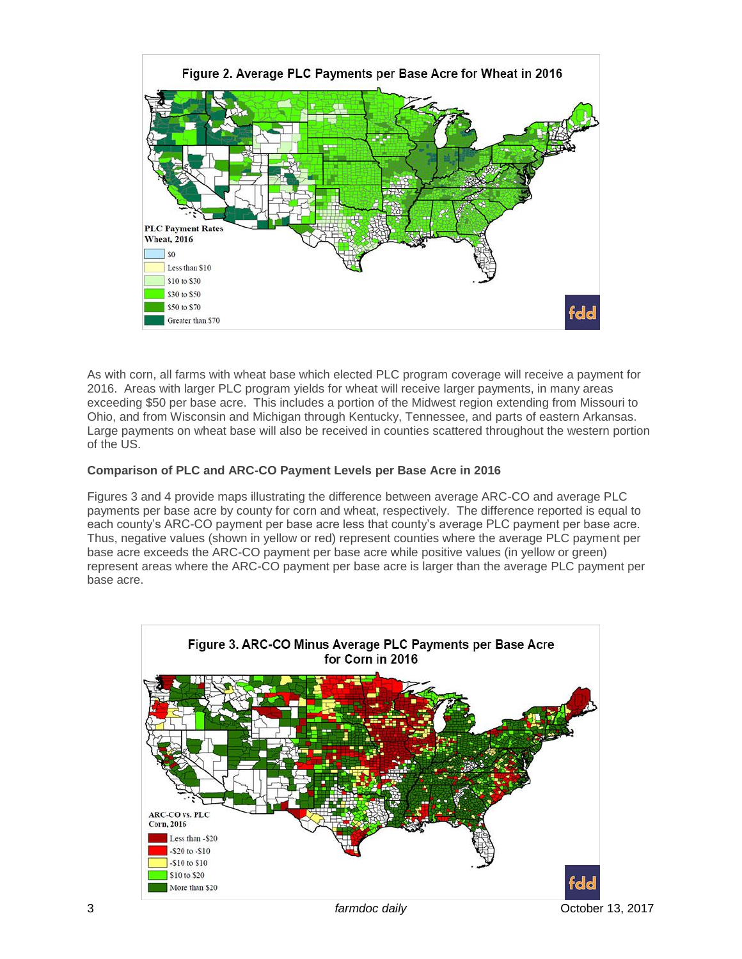

As with corn, all farms with wheat base which elected PLC program coverage will receive a payment for 2016. Areas with larger PLC program yields for wheat will receive larger payments, in many areas exceeding \$50 per base acre. This includes a portion of the Midwest region extending from Missouri to Ohio, and from Wisconsin and Michigan through Kentucky, Tennessee, and parts of eastern Arkansas. Large payments on wheat base will also be received in counties scattered throughout the western portion of the US.

# **Comparison of PLC and ARC-CO Payment Levels per Base Acre in 2016**

Figures 3 and 4 provide maps illustrating the difference between average ARC-CO and average PLC payments per base acre by county for corn and wheat, respectively. The difference reported is equal to each county's ARC-CO payment per base acre less that county's average PLC payment per base acre. Thus, negative values (shown in yellow or red) represent counties where the average PLC payment per base acre exceeds the ARC-CO payment per base acre while positive values (in yellow or green) represent areas where the ARC-CO payment per base acre is larger than the average PLC payment per base acre.

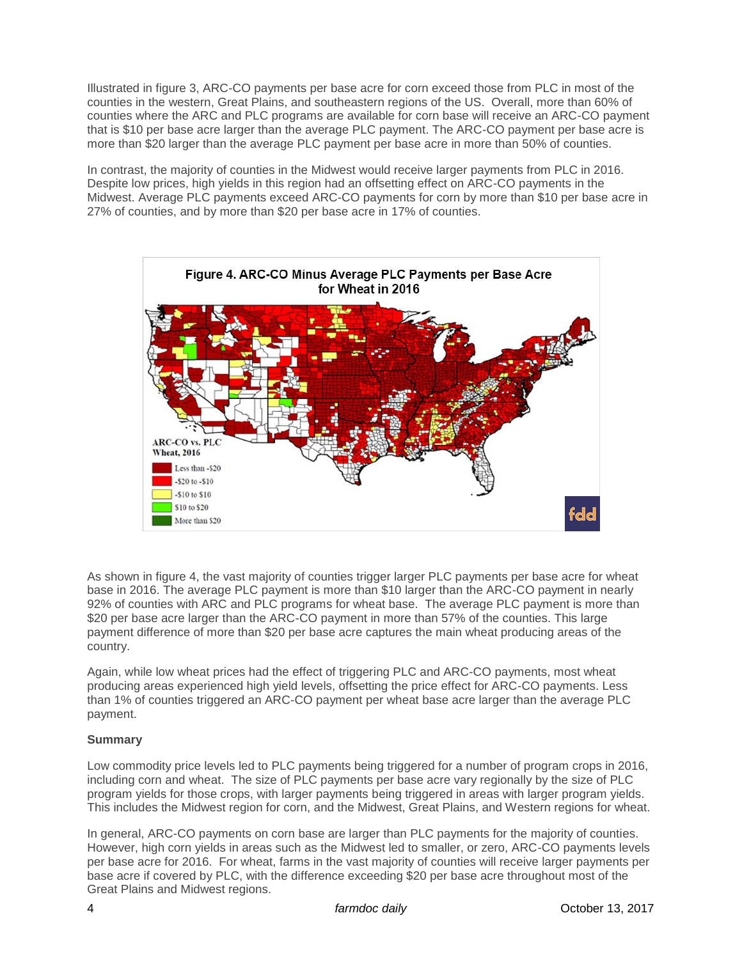Illustrated in figure 3, ARC-CO payments per base acre for corn exceed those from PLC in most of the counties in the western, Great Plains, and southeastern regions of the US. Overall, more than 60% of counties where the ARC and PLC programs are available for corn base will receive an ARC-CO payment that is \$10 per base acre larger than the average PLC payment. The ARC-CO payment per base acre is more than \$20 larger than the average PLC payment per base acre in more than 50% of counties.

In contrast, the majority of counties in the Midwest would receive larger payments from PLC in 2016. Despite low prices, high yields in this region had an offsetting effect on ARC-CO payments in the Midwest. Average PLC payments exceed ARC-CO payments for corn by more than \$10 per base acre in 27% of counties, and by more than \$20 per base acre in 17% of counties.



As shown in figure 4, the vast majority of counties trigger larger PLC payments per base acre for wheat base in 2016. The average PLC payment is more than \$10 larger than the ARC-CO payment in nearly 92% of counties with ARC and PLC programs for wheat base. The average PLC payment is more than \$20 per base acre larger than the ARC-CO payment in more than 57% of the counties. This large payment difference of more than \$20 per base acre captures the main wheat producing areas of the country.

Again, while low wheat prices had the effect of triggering PLC and ARC-CO payments, most wheat producing areas experienced high yield levels, offsetting the price effect for ARC-CO payments. Less than 1% of counties triggered an ARC-CO payment per wheat base acre larger than the average PLC payment.

# **Summary**

Low commodity price levels led to PLC payments being triggered for a number of program crops in 2016, including corn and wheat. The size of PLC payments per base acre vary regionally by the size of PLC program yields for those crops, with larger payments being triggered in areas with larger program yields. This includes the Midwest region for corn, and the Midwest, Great Plains, and Western regions for wheat.

In general, ARC-CO payments on corn base are larger than PLC payments for the majority of counties. However, high corn yields in areas such as the Midwest led to smaller, or zero, ARC-CO payments levels per base acre for 2016. For wheat, farms in the vast majority of counties will receive larger payments per base acre if covered by PLC, with the difference exceeding \$20 per base acre throughout most of the Great Plains and Midwest regions.